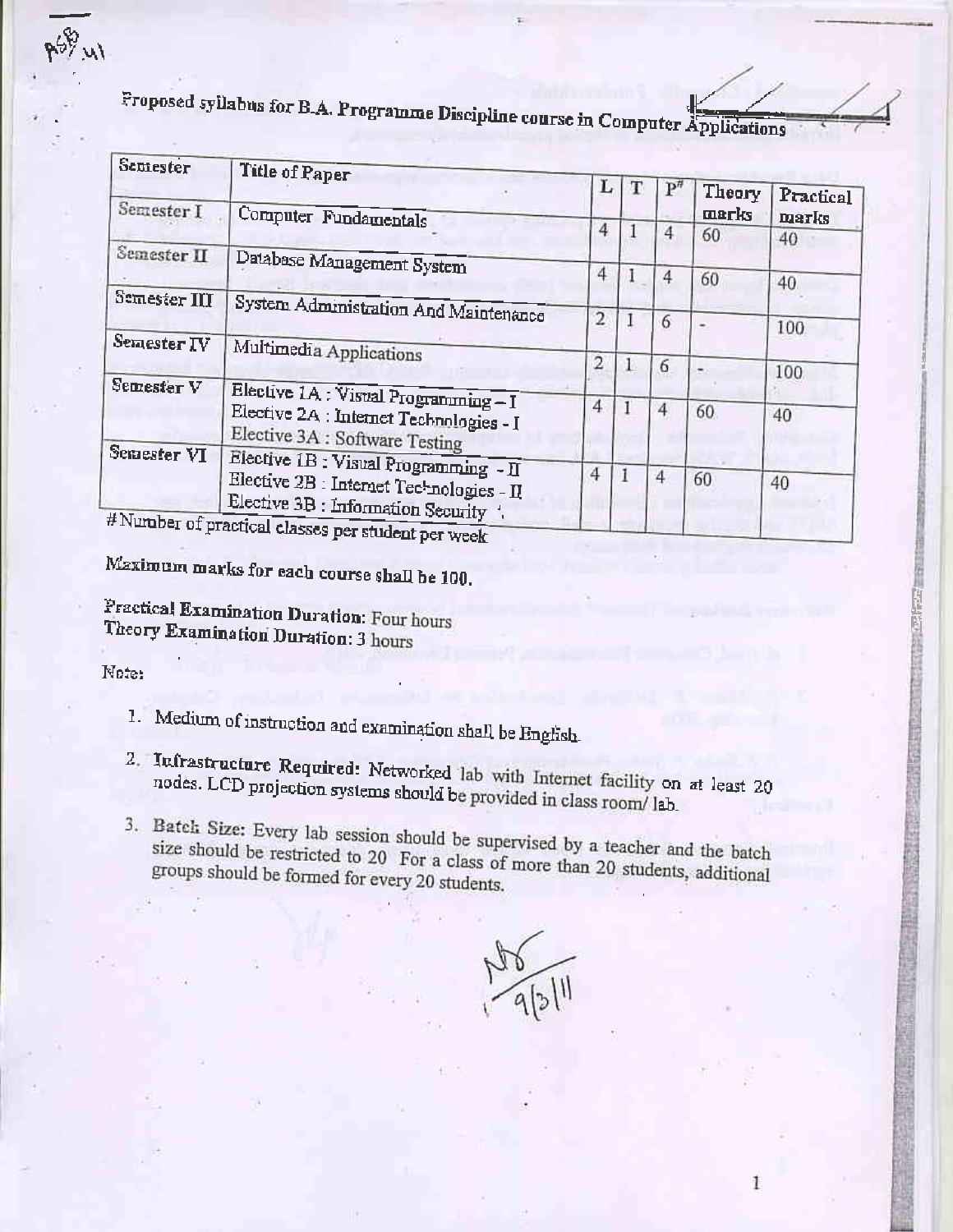

| Sepiester                   | <b>Title of Paper</b>                                                          | L              |    | $P$ <sup>#</sup> | Theory | Practical |
|-----------------------------|--------------------------------------------------------------------------------|----------------|----|------------------|--------|-----------|
| Semester I                  | Computer Fundamentals                                                          |                |    |                  | marks  | marks     |
|                             |                                                                                | 4              |    | 4                | 60     | 40        |
| Semester II                 | Database Management System                                                     |                |    |                  |        |           |
|                             |                                                                                | 4              |    | 4                | 60     | 40        |
| Semester III                | System Administration And Maintenance                                          |                |    |                  |        |           |
|                             |                                                                                | $\overline{2}$ |    | 6                |        | 100       |
| Semester IV                 | Multimedia Applications                                                        | 2              |    |                  |        |           |
|                             |                                                                                |                | 1. | 6                |        | 100       |
| Semester V                  | Elective 1A : Visual Programming-I                                             | 4              |    |                  |        |           |
|                             | Elective 2A : Internet Technologies - I<br>Elective 3A : Software Testing      |                |    |                  | 60     | 40        |
| Semester VI                 | Elective 1B : Visual Programming - II                                          |                |    |                  |        |           |
| $#$ Number of $\frac{1}{2}$ | Elective 2B : Internet Technologies - II<br>Elective 3B : Information Security | 4              |    | 4                | 60     | 40        |

er of practical classes per student per week

Maximum marks for each course shall be 100.

Practical Examination Duration: Four hours Theory Examination Duration: 3 hours

Note:

 $5941$ 

- 1. Medium of instruction and examination shall be English.
- 2. Infrastructure Required: Networked lab with Internet facility on at least 20 nodes. LCD projection systems should be provided in class room/ lab.
- 3. Batch Size: Every lab session should be supervised by a teacher and the batch size should be restricted to 20 For a class of more than 20 students, additional groups should be formed for every 20 students.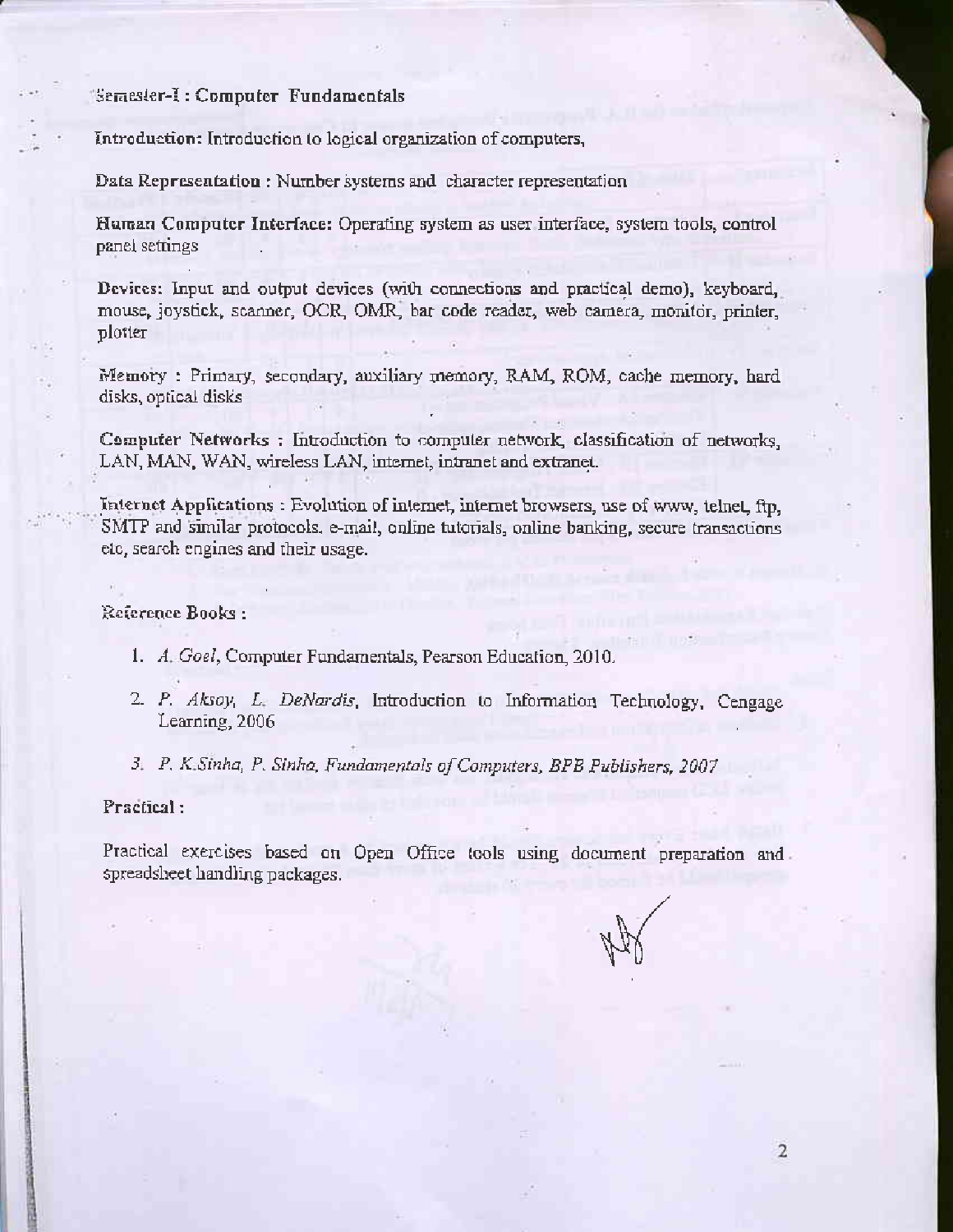#### Semester-I: Computer Fundamentals

Introduction: Introduction to logical organization of computers,

Data Representation: Number systems and character representation

Human Computer Interface: Operating system as user interface, system tools, control panel settings

Devices: Input and output devices (with connections and practical demo), keyboard, mouse, joystick, scanner, OCR, OMR, bar code reader, web camera, monitor, printer, plotter

Memory: Primary, secondary, auxiliary memory, RAM, ROM, cache memory, hard disks, optical disks

Computer Networks : Introduction to computer network, classification of networks, LAN, MAN, WAN, wireless LAN, internet, intranet and extranet.

Internet Applications: Evolution of internet, internet browsers, use of www, telnet, ftp, SMTP and similar protocols, e-mail, online tutorials, online banking, secure transactions etc, search engines and their usage.

#### Reference Books:

- 1. A. Goel, Computer Fundamentals, Pearson Education, 2010.
- 2. P. Aksoy, L. DeNardis, Introduction to Information Technology, Cengage Learning, 2006
- 3. P. K.Sinha, P. Sinha, Fundamentals of Computers, BPB Publishers, 2007

#### Practical:

Practical exercises based on Open Office tools using document preparation and spreadsheet handling packages.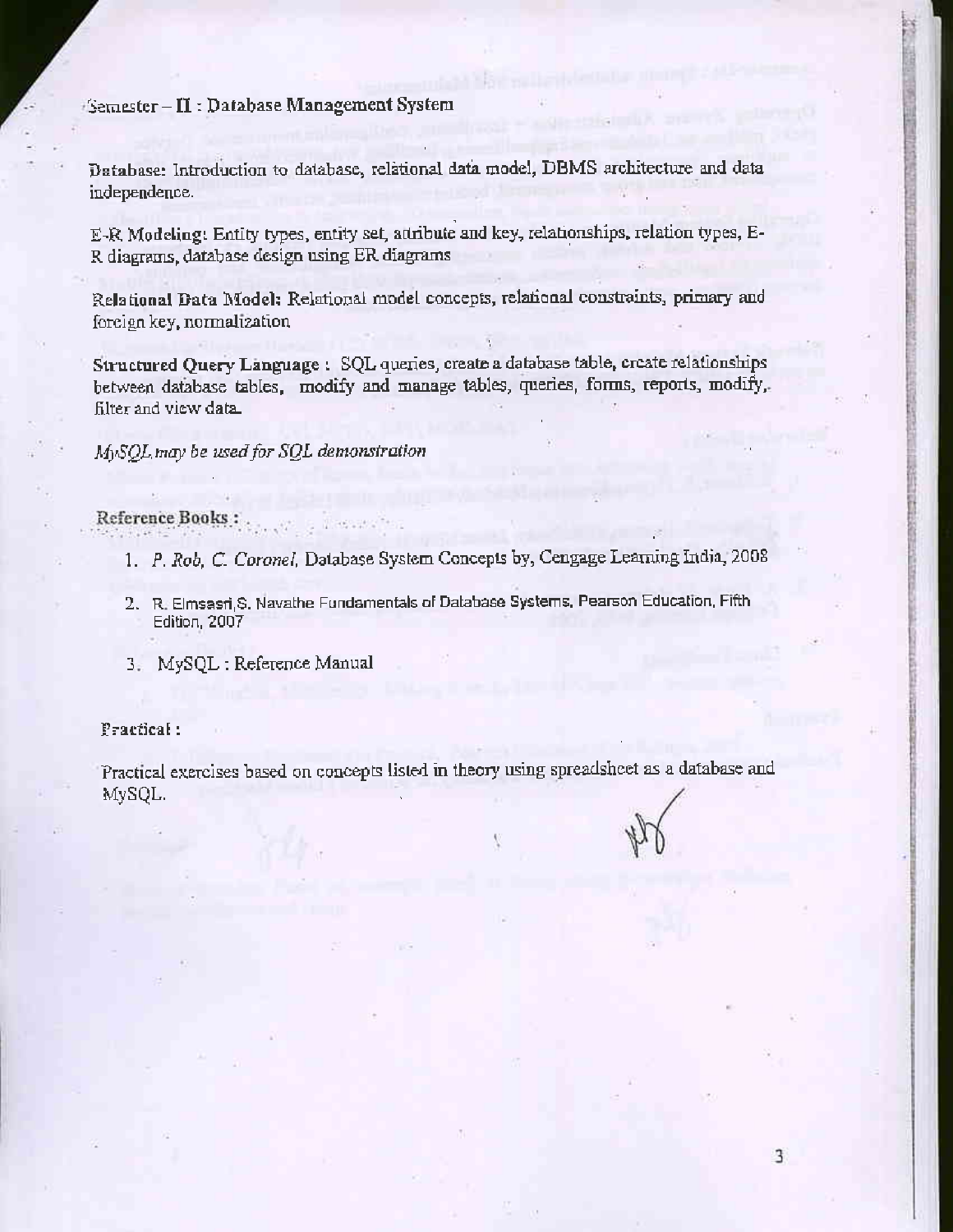### Semester - II : Database Management System

Database: Introduction to database, relational data model, DBMS architecture and data independence.

E-R Modeling: Entity types, entity set, attribute and key, relationships, relation types, E-R diagrams, database design using ER diagrams

Relational Data Model: Relational model concepts, relational constraints, primary and foreign key, normalization

Structured Query Language : SQL queries, create a database table, create relationships between database tables, modify and manage tables, queries, forms, reports, modify, filter and view data.

### MySQL may be used for SQL demonstration

#### Reference Books : .

- 1. P. Rob, C. Coronel, Database System Concepts by, Cengage Learning India, 2008
- 2. R. Elmsasri, S. Navathe Fundamentals of Database Systems, Pearson Education, Fifth Edition, 2007
- 3. MySQL: Reference Manual

#### Practical:

Practical exercises based on concepts listed in theory using spreadsheet as a database and MySQL.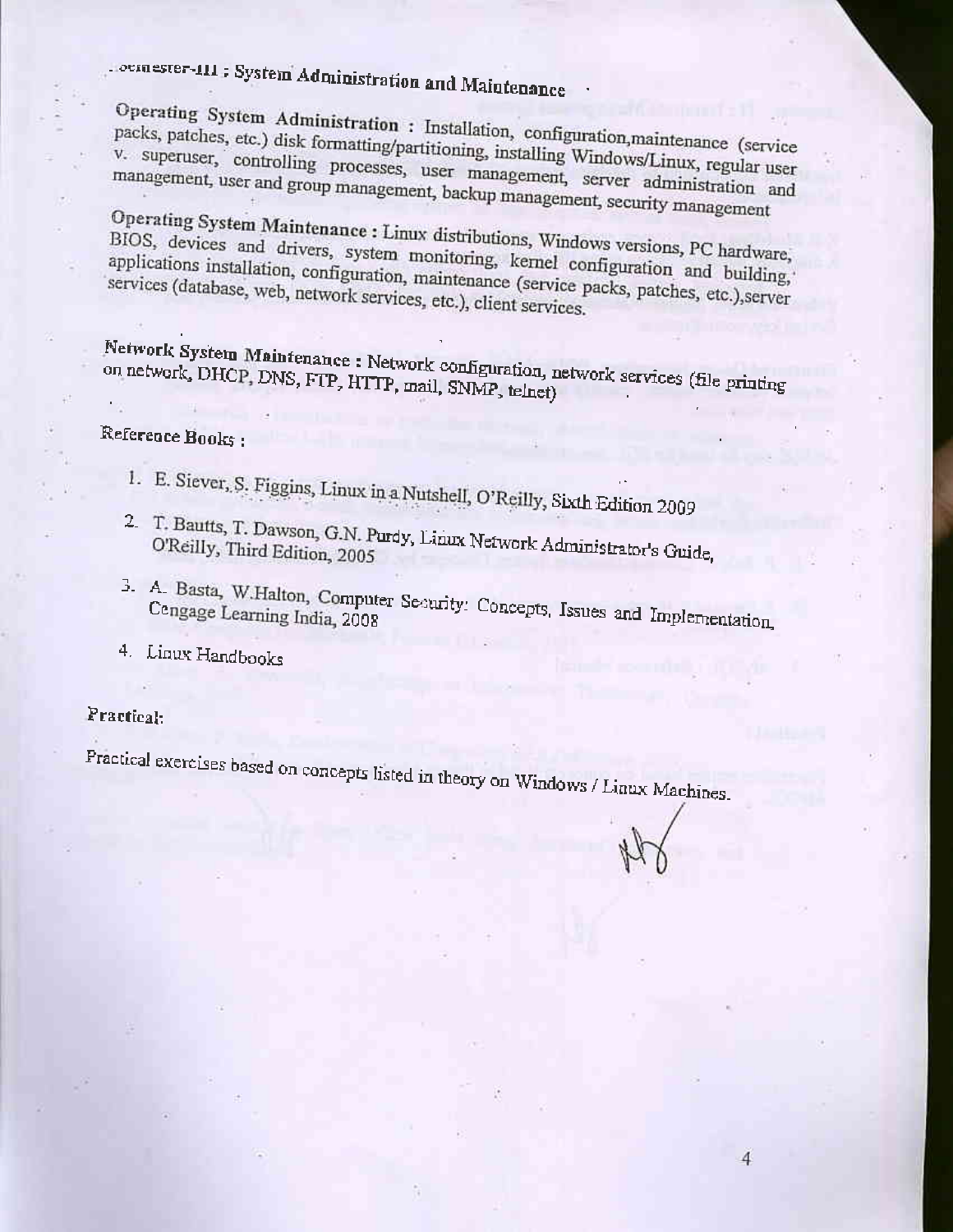# oemester-111: System Administration and Maintenance

Operating System Administration : Installation, configuration, maintenance (service packs, patches, etc.) disk formatting/partitioning, installing Windows/Linux, regular user v. superuser, controlling processes, user management, server administration and management, user and group management, backup management, security management

Operating System Maintenance : Linux distributions, Windows versions, PC hardware, BIOS, devices and drivers, system monitoring, kernel configuration and building, applications installation, configuration, maintenance (service packs, patches, etc.), server services (database, web, network services, etc.), client services.

Network System Maintenance: Network configuration, network services (file printing on network, DHCP, DNS, FTP, HTTP, mail, SNMP, telnet)

### Reference Books:

- 1. E. Siever, S. Figgins, Linux in a Nutshell, O'Reilly, Sixth Edition 2009
- 2. T. Bautts, T. Dawson, G.N. Purdy, Linux Network Administrator's Guide, O'Reilly, Third Edition, 2005
- 3. A. Basta, W.Halton, Computer Security: Concepts, Issues and Implementation,

4

4. Linux Handbooks

#### Practical:

Practical exercises based on concepts listed in theory on Windows / Linux Machines.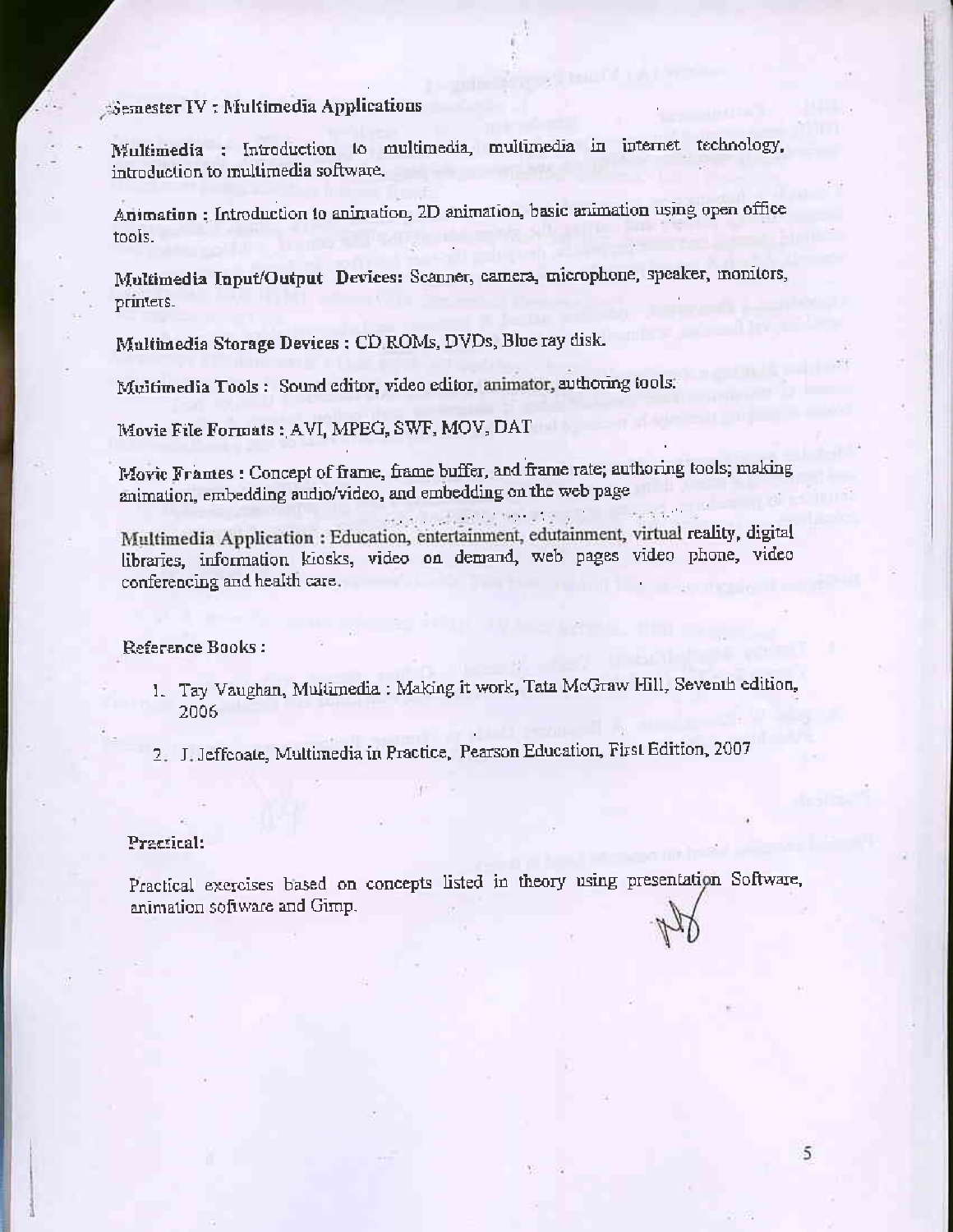#### Semester IV: Multimedia Applications

Multimedia : Introduction to multimedia, multimedia in internet technology, introduction to multimedia software.

Animation: Introduction to animation, 2D animation, basic animation using open office tools.

Multimedia Input/Output Devices: Scanner, camera, microphone, speaker, monitors, printers.

Multimedia Storage Devices : CD ROMs, DVDs, Blue ray disk.

Multimedia Tools: Sound editor, video editor, animator, authoring tools:

Movie File Formats: AVI, MPEG, SWF, MOV, DAT

Movie Frames : Concept of frame, frame buffer, and frame rate; authoring tools; making animation, embedding audio/video, and embedding on the web page

Multimedia Application : Education, entertainment, edutainment, virtual reality, digital libraries, information kiosks, video on demand, web pages video phone, video conferencing and health care.

Reference Books:

- 1. Tay Vaughan, Multimedia : Making it work, Tata McGraw Hill, Seventh edition, 2006
- 2. J. Jeffcoate, Multimedia in Practice, Pearson Education, First Edition, 2007

#### Practical:

Practical exercises based on concepts listed in theory using presentation Software, animation software and Gimp.

5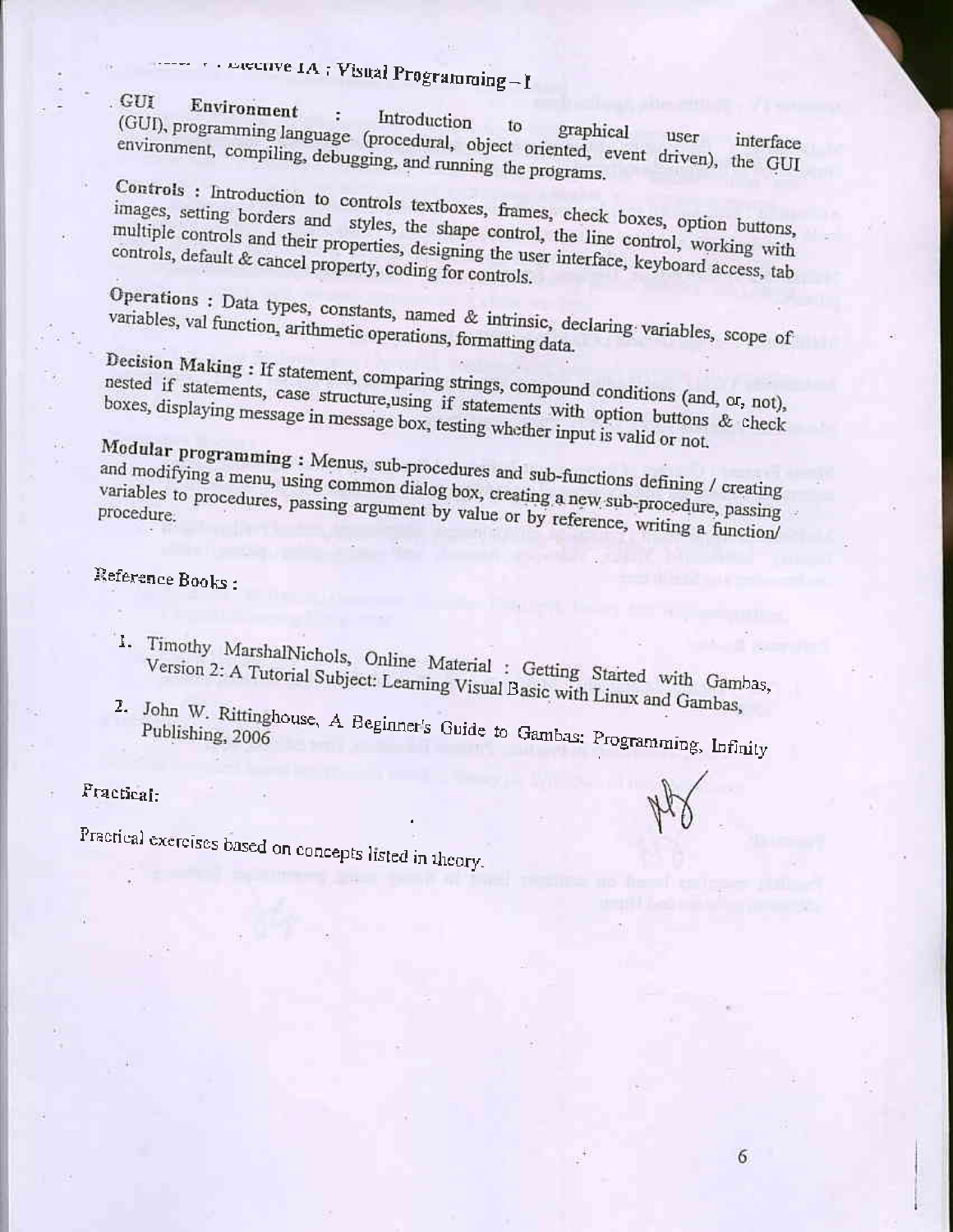# energye IA: Visual Programming-I

#### . GUI Environment

Introduction (GUI), programming language (procedural, object oriented, event driven), the GUI ÷ environment, compiling, debugging, and running the programs.

Controls : Introduction to controls textboxes, frames, check boxes, option buttons, images, setting borders and styles, the shape control, the line control, working with multiple controls and their properties, designing the user interface, keyboard access, tab controls, default & cancel property, coding for controls.

## Operations : Data types, constants, named & intrinsic, declaring variables, scope of variables, val function, arithmetic operations, formatting data.

Decision Making : If statement, comparing strings, compound conditions (and, or, not), nested if statements, case structure, using if statements with option buttons & check boxes, displaying message in message box, testing whether input is valid or not.

Modular programming: Menus, sub-procedures and sub-functions defining / creating and modifying a menu, using common dialog box, creating a new sub-procedure, passing variables to procedures, passing argument by value or by reference, writing a function/

## Reference Books:

- 1. Timothy MarshalNichols, Online Material : Getting Started with Gambas, Version 2: A Tutorial Subject: Learning Visual Basic with Linux and Gambas,
- 2. John W. Rittinghouse, A Beginner's Guide to Gambas: Programming, Infinity

Practical:

Practical exercises based on concepts listed in theory.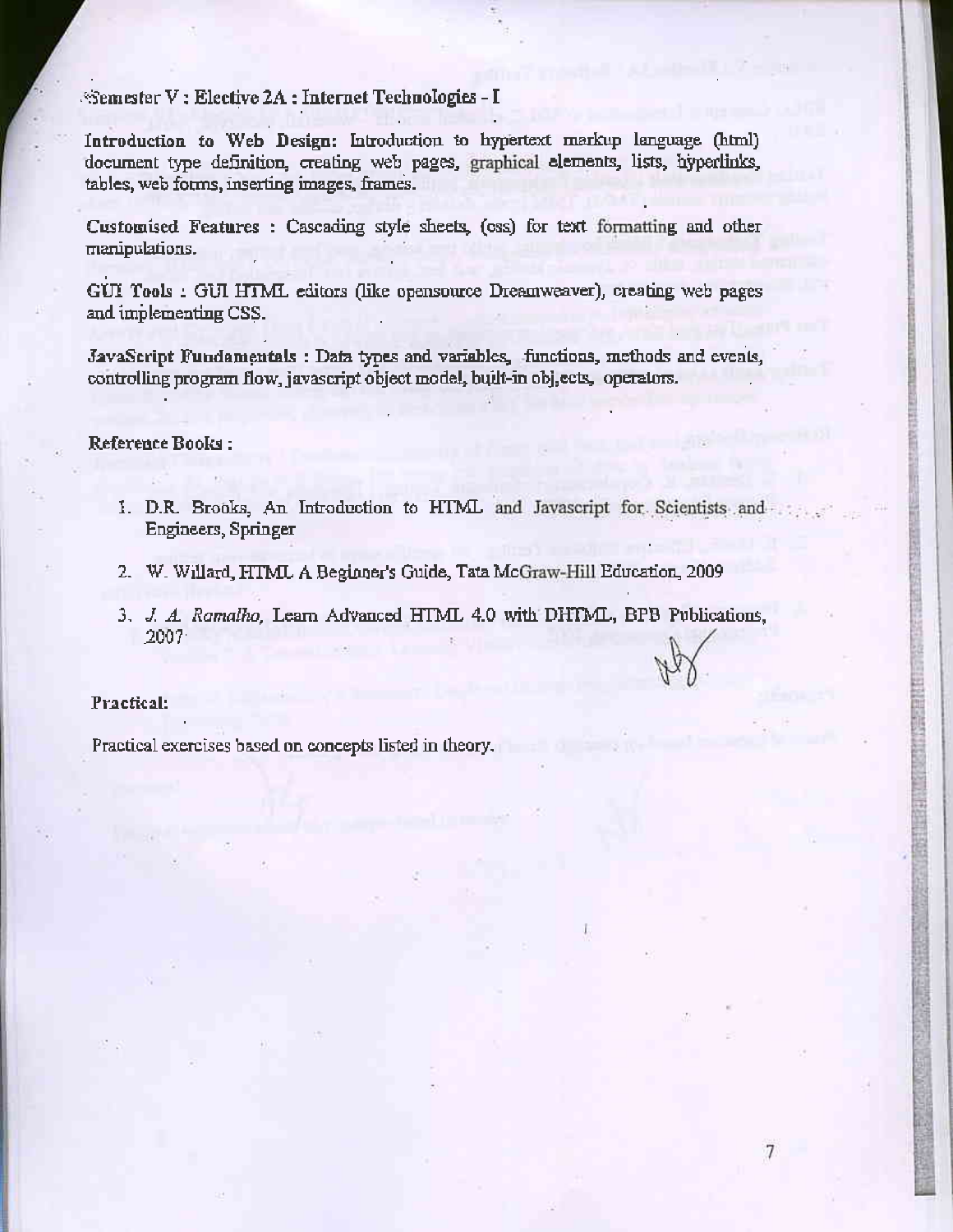Semester V : Elective 2A : Internet Technologies - I

Introduction to Web Design: Introduction to hypertext markup language (html) document type definition, creating web pages, graphical elements, lists, hyperlinks, tables, web forms, inserting images, frames.

Customised Features : Cascading style sheets, (css) for text formatting and other manipulations.

GUI Tools : GUI HTML editors (like opensource Dreamweaver), creating web pages and implementing CSS.

JavaScript Fundamentals : Data types and variables, functions, methods and events, controlling program flow, javascript object model, built-in obj, ects, operators.

#### Reference Books:

1. D.R. Brooks, An Introduction to HTML and Javascript for Scientists and Engineers, Springer

医中央产品 医阴道三角 医血管炎

7

- 2. W. Willard, HTML A Beginner's Guide, Tata McGraw-Hill Education, 2009
- 3. J. A. Ramalho, Learn Advanced HTML 4.0 with DHTML, BPB Publications,  $2007 -$

#### Practical:

Practical exercises based on concepts listed in theory.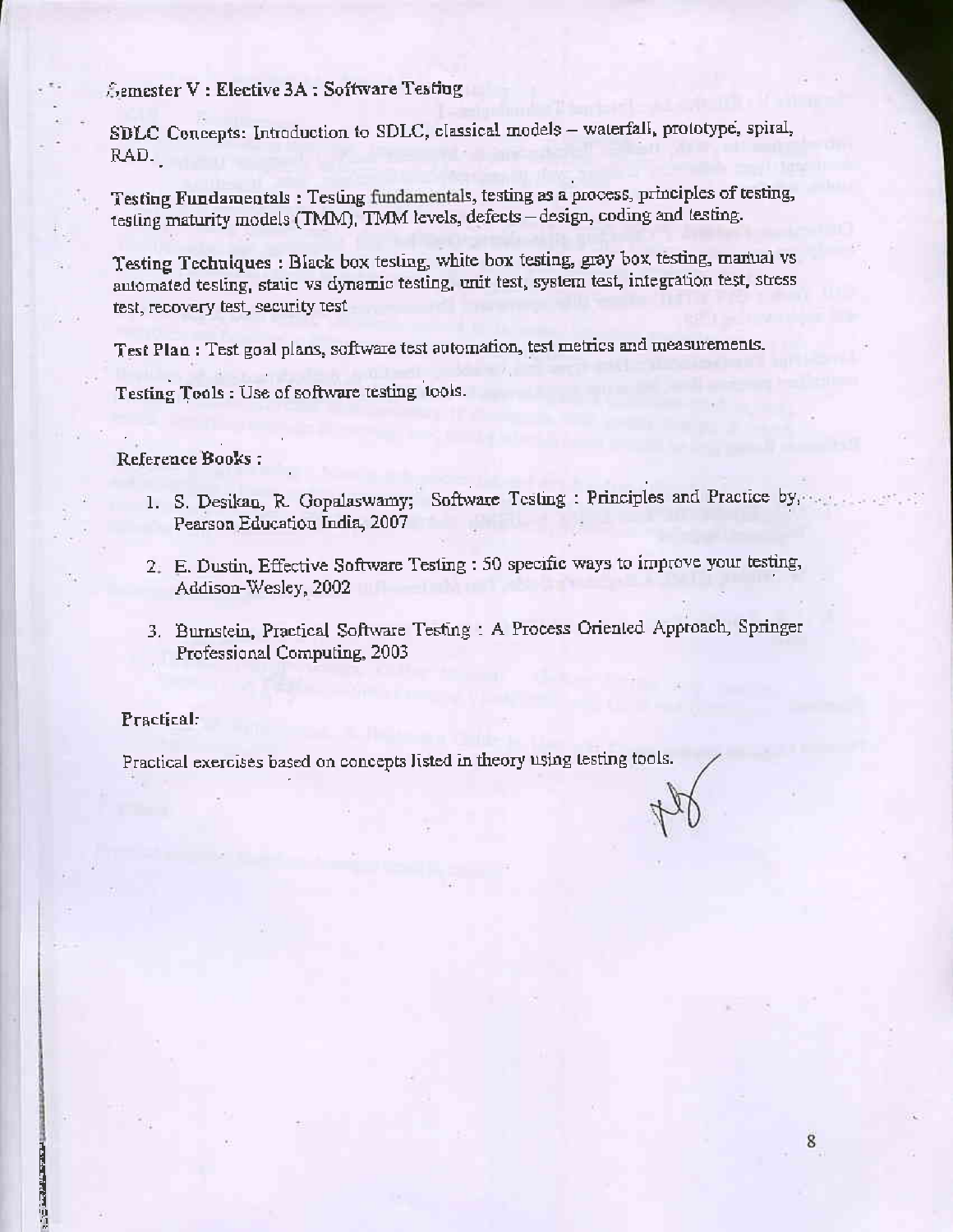Semester V: Elective 3A: Software Testing

SDLC Concepts: Introduction to SDLC, classical models - waterfall, prototype, spiral, RAD.

Testing Fundamentals: Testing fundamentals, testing as a process, principles of testing, testing maturity models (TMM), TMM levels, defects - design, coding and testing.

Testing Techniques : Black box testing, white box testing, gray box testing, manual vs automated testing, static vs dynamic testing, unit test, system test, integration test, stress test, recovery test, security test

Test Plan : Test goal plans, software test automation, test metrics and measurements.

Testing Tools : Use of software testing tools.

#### Reference Books:

- 1. S. Desikan, R. Gopalaswamy; Software Testing : Principles and Practice by, Pearson Education India, 2007
- 2. E. Dustin, Effective Software Testing : 50 specific ways to improve your testing, Addison-Wesley, 2002
- 3. Burnstein, Practical Software Testing : A Process Oriented Approach, Springer Professional Computing, 2003

8

#### Practical:

**PERSONAL** 

Practical exercises based on concepts listed in theory using testing tools.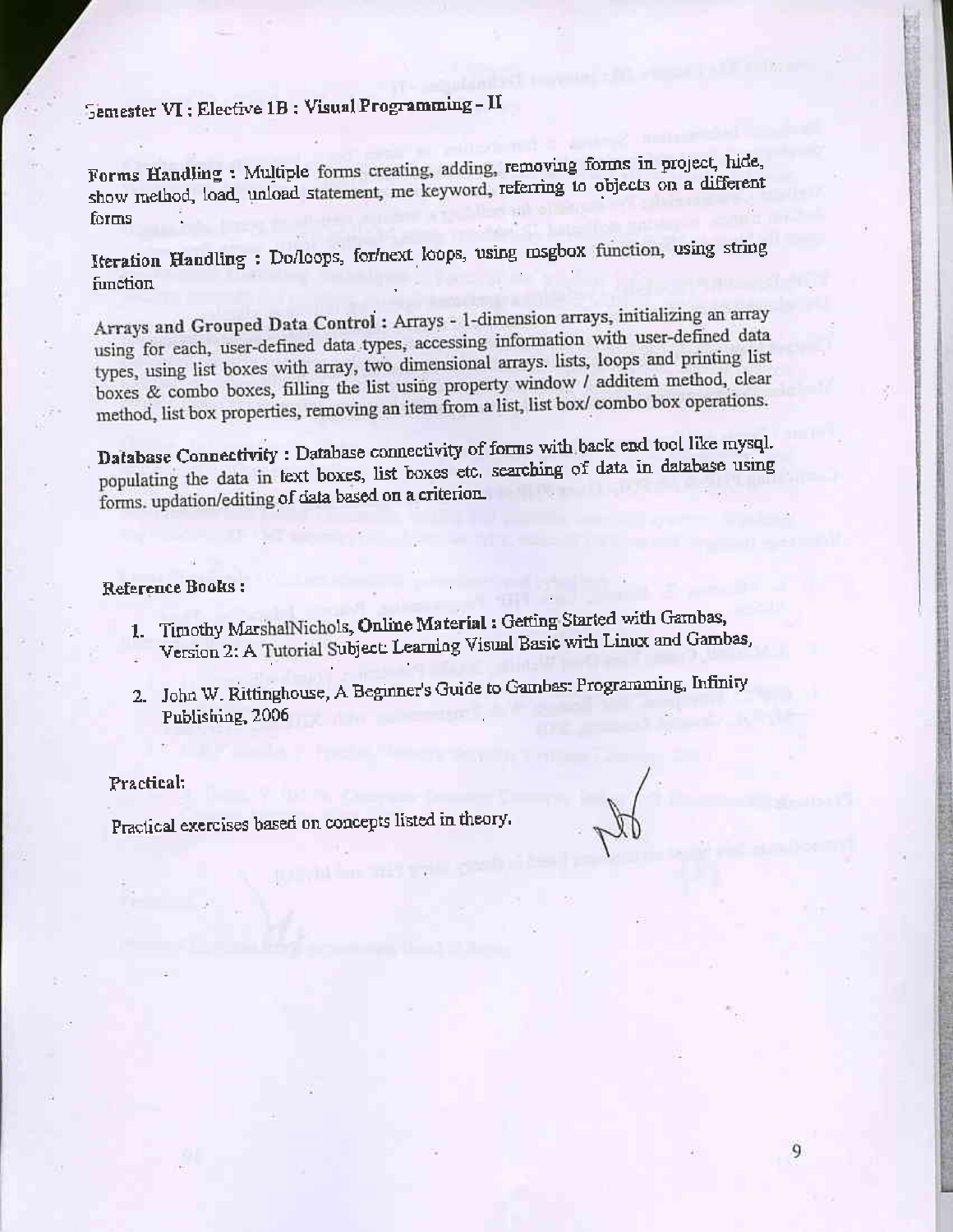## Semester VI: Elective 1B: Visual Programming - II

Forms Handling : Multiple forms creating, adding, removing forms in project, hide, show method, load, unload statement, me keyword, referring to objects on a different forms

Iteration Handling : Do/loops, for/next loops, using msgbox function, using string function

Arrays and Grouped Data Control: Arrays - 1-dimension arrays, initializing an array using for each, user-defined data types, accessing information with user-defined data types, using list boxes with array, two dimensional arrays. lists, loops and printing list boxes & combo boxes, filling the list using property window / additem method, clear method, list box properties, removing an item from a list, list box/ combo box operations.

Database Connectivity: Database connectivity of forms with back end tool like mysql. populating the data in text boxes, list boxes etc. searching of data in database using forms. updation/editing of data based on a criterion

#### Reference Books:

- 1. Timothy MarshalNichols, Online Material : Getting Started with Gambas,
- Version 2: A Tutorial Subject: Learning Visual Basic with Linux and Gambas,
- 2. John W. Rittinghouse, A Beginner's Guide to Gambas: Programming, Infinity Publishing, 2006

#### Practical:

Practical exercises based on concepts listed in theory.

9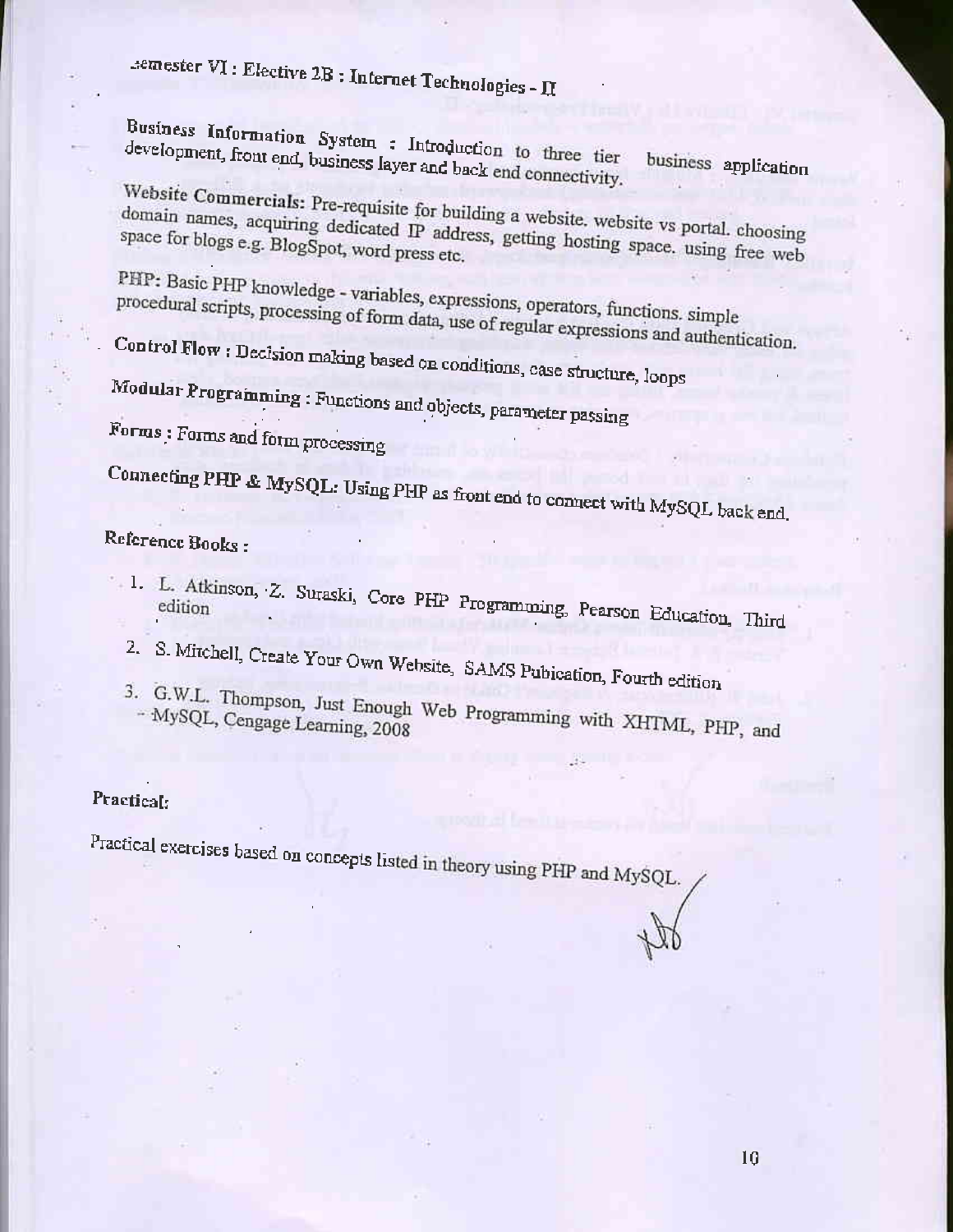# semester VI : Elective 2B : Internet Technologies - II

Business Information System : Introduction to three tier development, front end, business layer and back end connectivity. business application

Website Commercials: Pre-requisite for building a website. website vs portal. choosing domain names, acquiring dedicated IP address, getting hosting space. using free web

PHP: Basic PHP knowledge - variables, expressions, operators, functions. simple procedural scripts, processing of form data, use of regular expressions and authentication.

Control Flow: Decision making based on conditions, case structure, loops

Modular Programming: Functions and objects, parameter passing

Forms : Forms and form processing

Connecting PHP & MySQL: Using PHP as front end to connect with MySQL back end.

## Reference Books:

- 1. L. Atkinson, Z. Suraski, Core PHP Programming, Pearson Education, Third
	- 2. S. Mitchell, Create Your Own Website, SAMS Pubication, Fourth edition
	- 3. G.W.L. Thompson, Just Enough Web Programming with XHTML, PHP, and

### Practical:

Practical exercises based on concepts listed in theory using PHP and MySQL.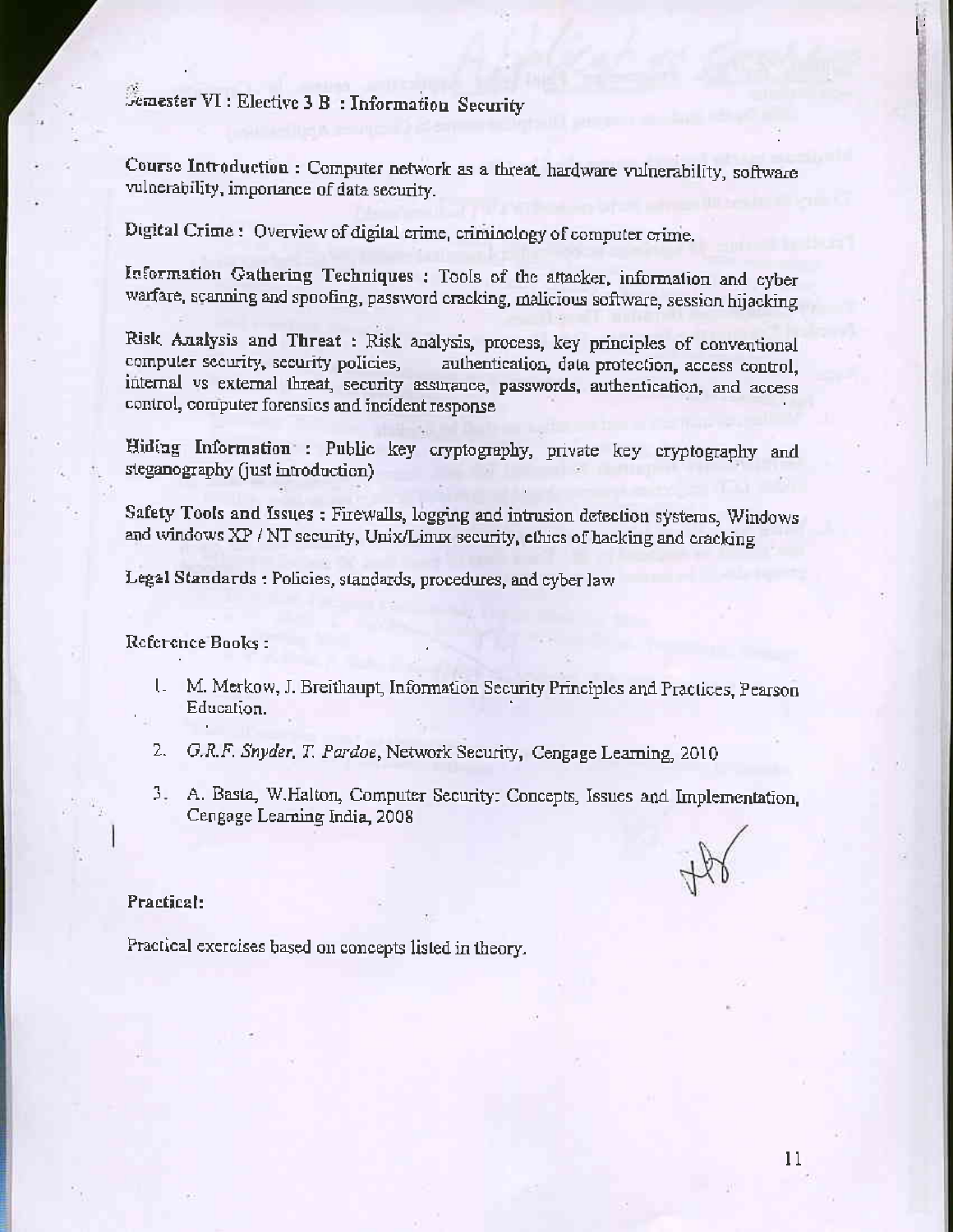Semester VI : Elective 3 B : Information Security

Course Introduction : Computer network as a threat hardware vulnerability, software vulnerability, importance of data security.

Digital Crime: Overview of digital crime, criminology of computer crime.

Information Gathering Techniques : Tools of the attacker, information and cyber warfare, scanning and spoofing, password cracking, malicious software, session hijacking

Risk Analysis and Threat : Risk analysis, process, key principles of conventional computer security, security policies, authentication, data protection, access control, internal vs external threat, security assurance, passwords, authentication, and access control, computer forensics and incident response

Hiding Information : Public key cryptography, private key cryptography and steganography (just introduction)

Safety Tools and Issues: Firewalls, logging and intrusion detection systems, Windows and windows XP / NT security, Unix/Linux security, ethics of hacking and cracking

Legal Standards : Policies, standards, procedures, and cyber law

Reference Books:

- 1. M. Merkow, J. Breithaupt, Information Security Principles and Practices, Pearson Education.
- G.R.F. Snyder, T. Pardoe, Network Security, Cengage Learning, 2010 2.
- 3. A. Basta, W.Halton, Computer Security: Concepts, Issues and Implementation, Cengage Learning India, 2008

#### Practical:

Practical exercises based on concepts listed in theory.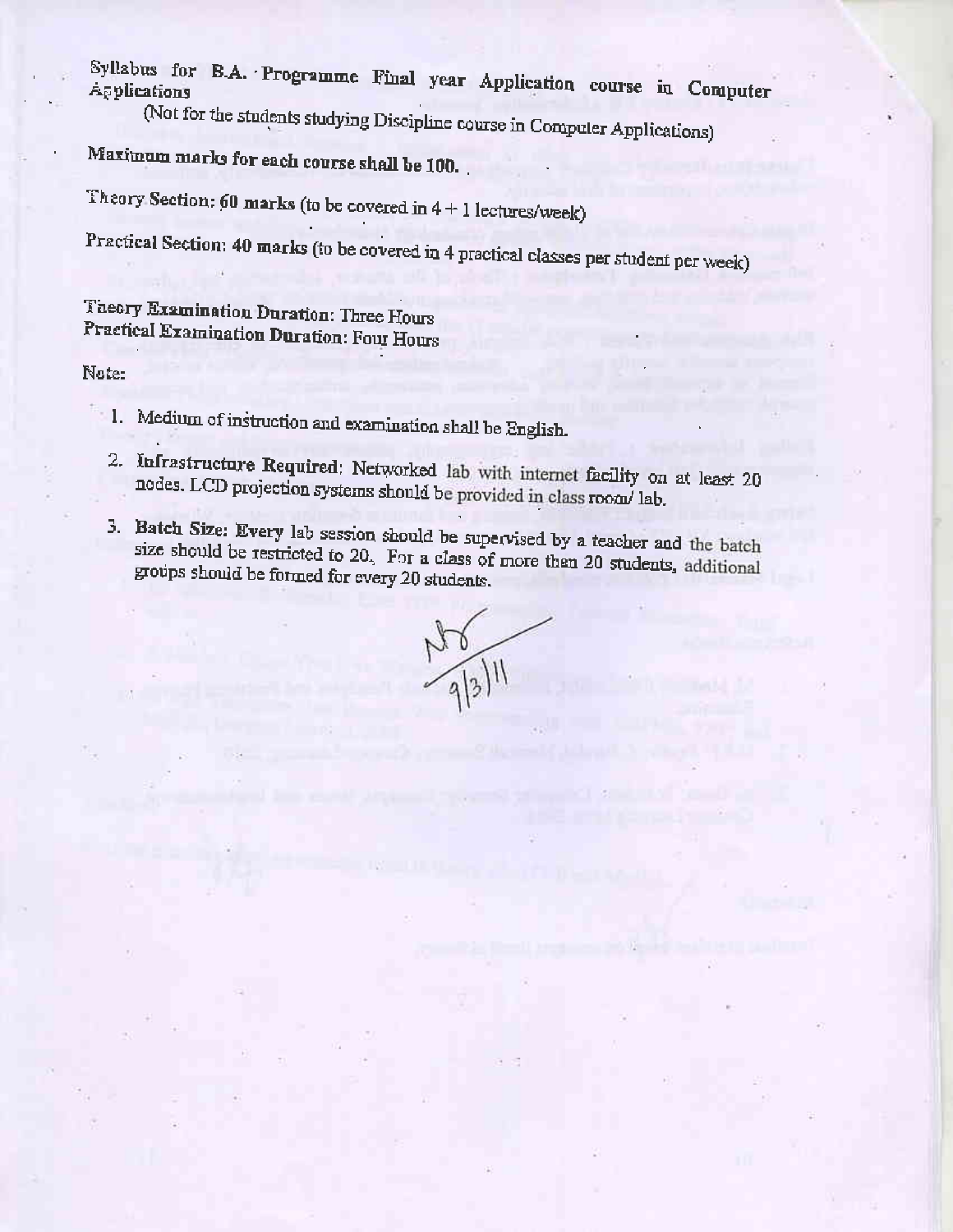Syllabus for B.A. Programme Final year Application course in Computer

(Not for the students studying Discipline course in Computer Applications)

Maximum marks for each course shall be 100.

Theory Section: 60 marks (to be covered in  $4 + 1$  lectures/week)

Practical Section: 40 marks (to be covered in 4 practical classes per student per week)

Theory Examination Duration: Three Hours Practical Examination Duration: Four Hours

Note:

- 1. Medium of instruction and examination shall be English.
	- 2. Infrastructure Required: Networked lab with internet facility on at least 20 nodes. LCD projection systems should be provided in class room/ lab.
	- 3. Batch Size: Every lab session should be supervised by a teacher and the batch size should be restricted to 20. For a class of more than 20 students, additional groups should be formed for every 20 students.

 $\frac{N8}{9|3|}$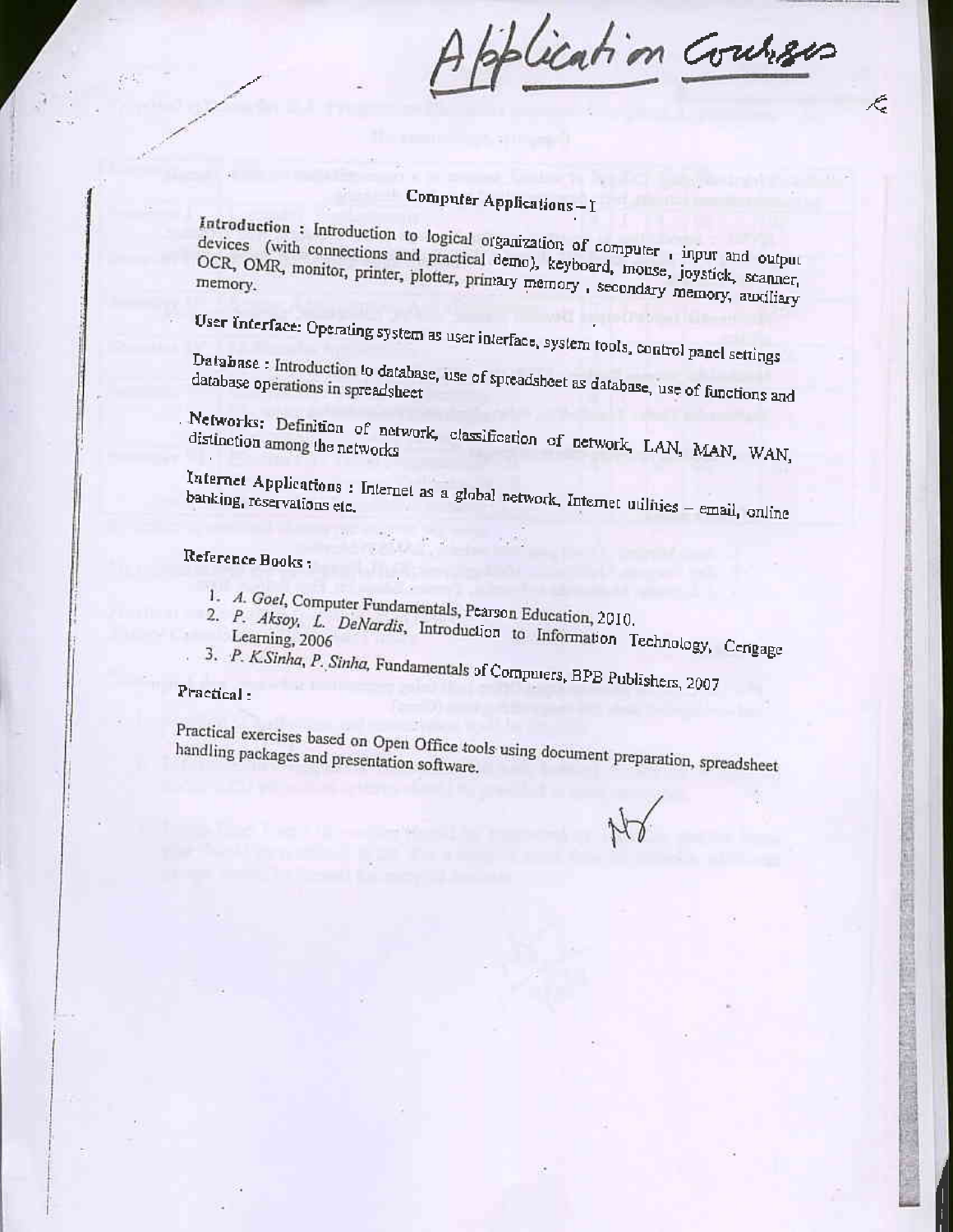Application Courses

É.

## **Computer Applications-I**

Introduction: Introduction to logical organization of computer, input and output devices (with connections and practical demo), keyboard, mouse, joystick, scanner, OCR, OMR, monitor, printer, plotter, primary memory, secondary memory, auxiliary

User Interface: Operating system as user interface, system tools, control panel settings

Database: Introduction to database, use of spreadsheet as database, use of functions and

. Networks: Definition of network, classification of network, LAN, MAN, WAN,

Internet Applications : Internet as a global network, Internet utilities - email, online banking, reservations etc.

### Reference Books ;

- 
- 1. A. Goel, Computer Fundamentals, Pearson Education, 2010.
- 2. P. Aksoy, L. DeNardis, Introduction to Information Technology, Cengage 3. P. KSinha, P. Sinha, Fundamentals of Computers, BPB Publishers, 2007
	-

#### Practical:

Practical exercises based on Open Office tools using document preparation, spreadsheet handling packages and presentation software.